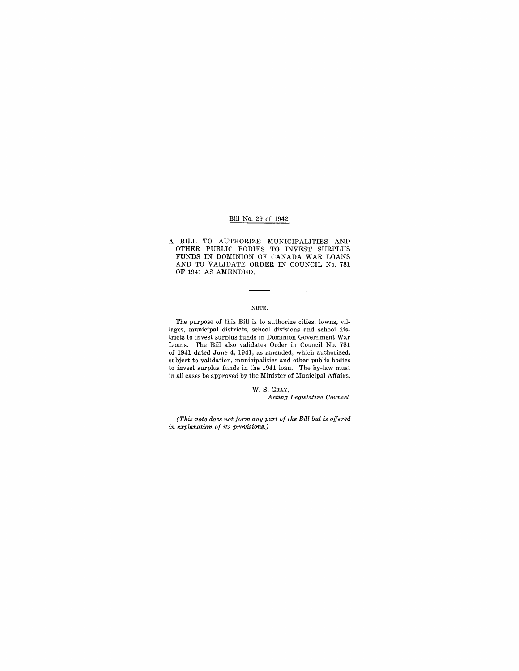## Bill No. 29 of 1942.

A BILL TO AUTHORIZE MUNICIPALITIES AND OTHER PUBLIC BODIES TO INVEST SURPLUS FUNDS IN DOMINION OF CANADA WAR LOANS AND TO VALIDATE ORDER IN COUNCIL No. 781 OF 1941 AS AMENDED.

## NOTE.

The purpose of this Bill is to authorize cities, towns, villages, municipal districts, school divisions and school districts to invest surplus funds in Dominion Government War Loans. The Bill also validates Order in Council No. 781 of 1941 dated June 4, 1941, as amended, which authorized, subject to validation, municipalities and other public bodies to invest surplus funds in the 1941 loan. The by-law must in all cases be approved by the Minister of Municipal Affairs.

> W. S. GRAY, *Acting Legislative Counsel.*

*(This note does not form any part of the Bill but is offered in explanation of its provisions.)*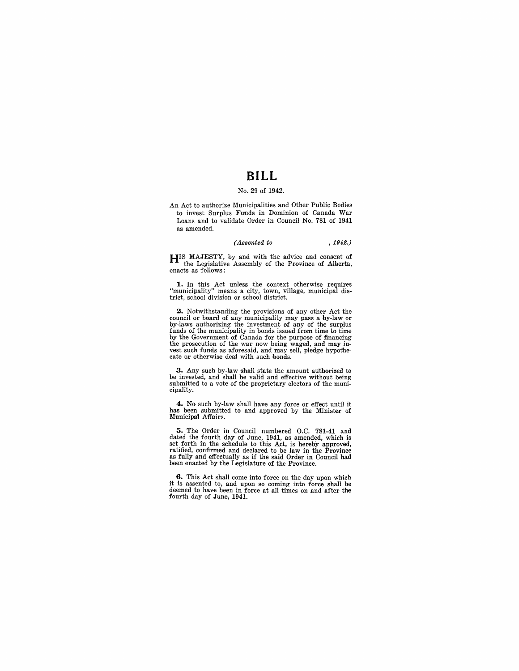## **BILL**

## No. 29 of 1942.

An Act to authorize Municipalities and Other Public Bodies to invest Surplus Funds in Dominion of Canada War Loans and to validate Order in Council No. 781 of 1941 as amended.

## *(Assented to* ,1942.)

HIS MAJESTY, by and with the advice and consent of the Legislative Assembly of the Province of Alberta, enacts as follows:

**1.** In this Act unless the context otherwise requires "municipality" means a city, town, village, municipal dis-trict, school division or school district.

2. Notwithstanding the provisions of any other Act the council or board of any municipality may pass a by-law or by-laws authorizing the investment of any of the surplus funds of the municipality in bonds issued from time to time by the Government of Canada for the purpose of financing the prosecution of the war now being waged, and may *in-*vest such funds as aforesaid, and may sell, pledge hypothecate or otherwise deal with such bonds.

**3.** Any such by-law shall state the amount authorized to be invested, and shall be valid and effective without being submitted to a vote of the proprietary electors of the municipality.

**4.** No such by-law shall have any force or effect until it has been submitted to and approved by the Minister of Municipal Affairs.

**5.** The Order in Council numbered O.C. 781-41 and dated the fourth day of June, 1941, as amended, which is<br>set forth in the schedule to this Act, is hereby approved,<br>ratified, confirmed and declared to be law in the Province<br>as fully and effectually as if the said Order i been enacted by the Legislature of the Province.

**G.** This Act shall come into force on the day upon which it is assented to, and upon so coming into force shall be deemed to have been in force at all times on and after the fourth day of June, 1941.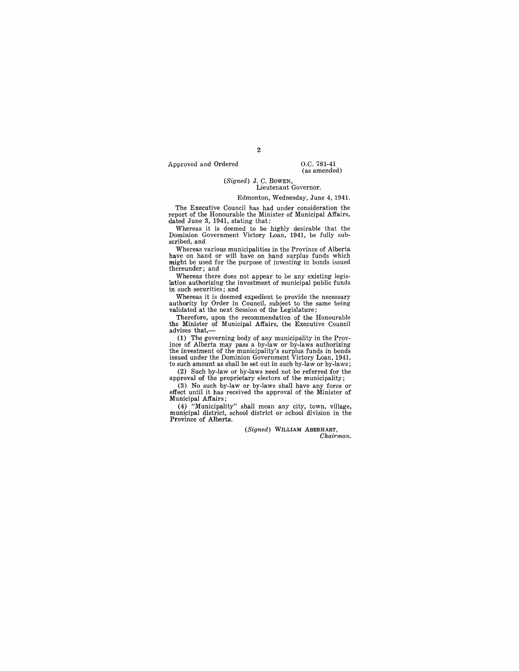Approved and Ordered 0.C. 781-41

## (as amended)

#### (Signed) J. C. BOWEN, Lieutenant Governor.

#### Edmonton, Wednesday, June 4, 1941.

The Executive Council has had under consideration the report of the Honourable the Minister of Municipal Affairs, dated June 3, 1941, statipg that:

Whereas it is deemed to be highly desirable that the Dominion Government Victory Loan, 1941, be fully subscribed, and

Whereas various municipalities in the Province of Alberta have on hand or will have on hand surplus funds which might be used for the purpose of investing in bonds issued thereunder; and

Whereas there does not appear to be any existing legis-<br>lation authorizing the investment of municipal public funds in such securities; and

Whereas it is deemed expedient to provide the necessary authority by Order in Council, subject to the same being validated at the next Session of the Legislature;

Therefore, upon the recommendation of the Honourable the Minister of Municipal Affairs, the Executive Council advises that,-

(1) The governing body of any municipality in the Province of Alberta may pass a by-law or by-laws authorizing the investment of the municipality's surplus funds in bonds issued under the Dominion Government Victory Loan, 1941, to such amount as shall be set out in such by-law or by-laws;

(2) Such by-law or by-laws need not be referred for the approval of the proprietary electors of the municipality;

(3) No such by-law or by-laws shall have any force or effect until it has received the approval of the Minister of Municipal Affairs;

(4) "Municipality" shall mean any city, town, village, municipal district, school district or school division in the<br>Province of Alberta.

(Signed) WILLIAM ABERHART,

Chairman.

2